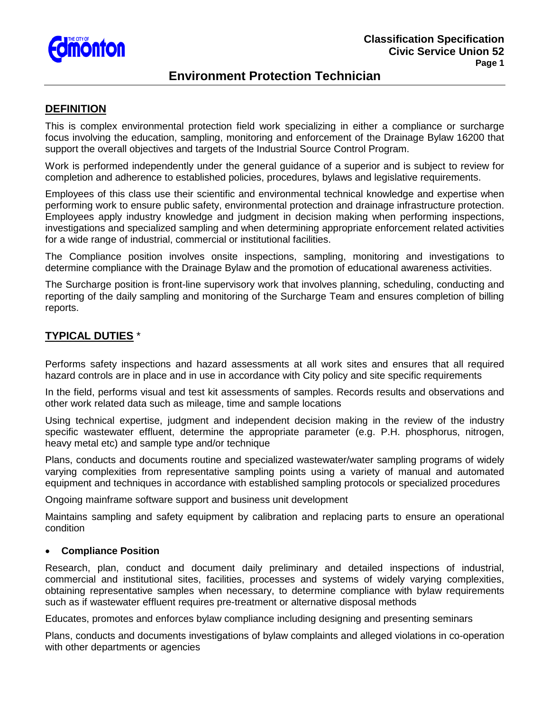

## **Environment Protection Technician**

## **DEFINITION**

This is complex environmental protection field work specializing in either a compliance or surcharge focus involving the education, sampling, monitoring and enforcement of the Drainage Bylaw 16200 that support the overall objectives and targets of the Industrial Source Control Program.

Work is performed independently under the general guidance of a superior and is subject to review for completion and adherence to established policies, procedures, bylaws and legislative requirements.

Employees of this class use their scientific and environmental technical knowledge and expertise when performing work to ensure public safety, environmental protection and drainage infrastructure protection. Employees apply industry knowledge and judgment in decision making when performing inspections, investigations and specialized sampling and when determining appropriate enforcement related activities for a wide range of industrial, commercial or institutional facilities.

The Compliance position involves onsite inspections, sampling, monitoring and investigations to determine compliance with the Drainage Bylaw and the promotion of educational awareness activities.

The Surcharge position is front-line supervisory work that involves planning, scheduling, conducting and reporting of the daily sampling and monitoring of the Surcharge Team and ensures completion of billing reports.

## **TYPICAL DUTIES** \*

Performs safety inspections and hazard assessments at all work sites and ensures that all required hazard controls are in place and in use in accordance with City policy and site specific requirements

In the field, performs visual and test kit assessments of samples. Records results and observations and other work related data such as mileage, time and sample locations

Using technical expertise, judgment and independent decision making in the review of the industry specific wastewater effluent, determine the appropriate parameter (e.g. P.H. phosphorus, nitrogen, heavy metal etc) and sample type and/or technique

Plans, conducts and documents routine and specialized wastewater/water sampling programs of widely varying complexities from representative sampling points using a variety of manual and automated equipment and techniques in accordance with established sampling protocols or specialized procedures

Ongoing mainframe software support and business unit development

Maintains sampling and safety equipment by calibration and replacing parts to ensure an operational condition

#### • **Compliance Position**

Research, plan, conduct and document daily preliminary and detailed inspections of industrial, commercial and institutional sites, facilities, processes and systems of widely varying complexities, obtaining representative samples when necessary, to determine compliance with bylaw requirements such as if wastewater effluent requires pre-treatment or alternative disposal methods

Educates, promotes and enforces bylaw compliance including designing and presenting seminars

Plans, conducts and documents investigations of bylaw complaints and alleged violations in co-operation with other departments or agencies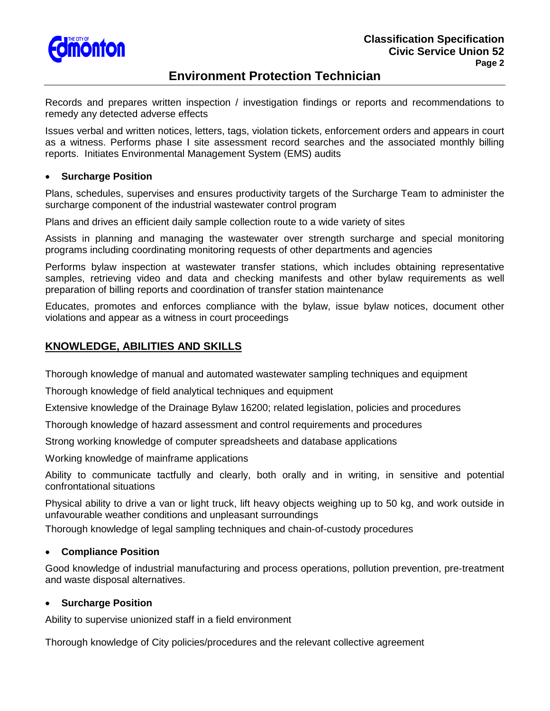

# **Environment Protection Technician**

Records and prepares written inspection / investigation findings or reports and recommendations to remedy any detected adverse effects

Issues verbal and written notices, letters, tags, violation tickets, enforcement orders and appears in court as a witness. Performs phase I site assessment record searches and the associated monthly billing reports. Initiates Environmental Management System (EMS) audits

#### • **Surcharge Position**

Plans, schedules, supervises and ensures productivity targets of the Surcharge Team to administer the surcharge component of the industrial wastewater control program

Plans and drives an efficient daily sample collection route to a wide variety of sites

Assists in planning and managing the wastewater over strength surcharge and special monitoring programs including coordinating monitoring requests of other departments and agencies

Performs bylaw inspection at wastewater transfer stations, which includes obtaining representative samples, retrieving video and data and checking manifests and other bylaw requirements as well preparation of billing reports and coordination of transfer station maintenance

Educates, promotes and enforces compliance with the bylaw, issue bylaw notices, document other violations and appear as a witness in court proceedings

## **KNOWLEDGE, ABILITIES AND SKILLS**

Thorough knowledge of manual and automated wastewater sampling techniques and equipment

Thorough knowledge of field analytical techniques and equipment

Extensive knowledge of the Drainage Bylaw 16200; related legislation, policies and procedures

Thorough knowledge of hazard assessment and control requirements and procedures

Strong working knowledge of computer spreadsheets and database applications

Working knowledge of mainframe applications

Ability to communicate tactfully and clearly, both orally and in writing, in sensitive and potential confrontational situations

Physical ability to drive a van or light truck, lift heavy objects weighing up to 50 kg, and work outside in unfavourable weather conditions and unpleasant surroundings

Thorough knowledge of legal sampling techniques and chain-of-custody procedures

### • **Compliance Position**

Good knowledge of industrial manufacturing and process operations, pollution prevention, pre-treatment and waste disposal alternatives.

### • **Surcharge Position**

Ability to supervise unionized staff in a field environment

Thorough knowledge of City policies/procedures and the relevant collective agreement